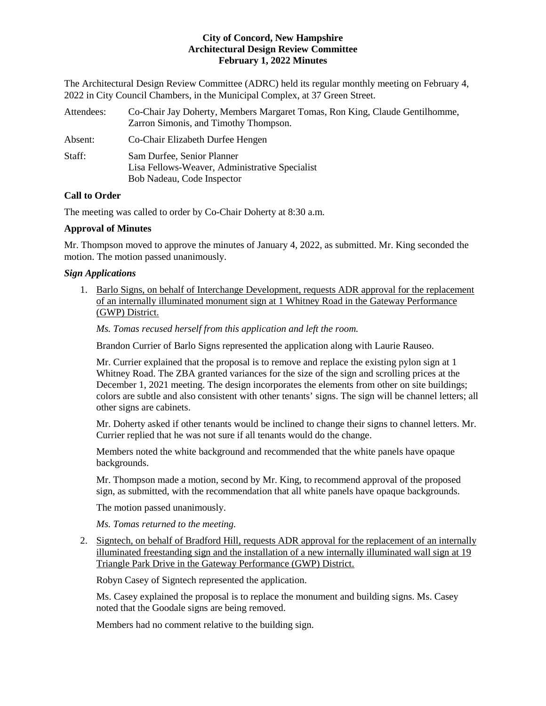The Architectural Design Review Committee (ADRC) held its regular monthly meeting on February 4, 2022 in City Council Chambers, in the Municipal Complex, at 37 Green Street.

| Attendees: | Co-Chair Jay Doherty, Members Margaret Tomas, Ron King, Claude Gentilhomme,<br>Zarron Simonis, and Timothy Thompson. |
|------------|----------------------------------------------------------------------------------------------------------------------|
| Absent:    | Co-Chair Elizabeth Durfee Hengen                                                                                     |
| Staff:     | Sam Durfee, Senior Planner<br>Lisa Fellows-Weaver, Administrative Specialist<br>Bob Nadeau, Code Inspector           |

## **Call to Order**

The meeting was called to order by Co-Chair Doherty at 8:30 a.m.

# **Approval of Minutes**

Mr. Thompson moved to approve the minutes of January 4, 2022, as submitted. Mr. King seconded the motion. The motion passed unanimously.

# *Sign Applications*

1. Barlo Signs, on behalf of Interchange Development, requests ADR approval for the replacement of an internally illuminated monument sign at 1 Whitney Road in the Gateway Performance (GWP) District.

*Ms. Tomas recused herself from this application and left the room.* 

Brandon Currier of Barlo Signs represented the application along with Laurie Rauseo.

Mr. Currier explained that the proposal is to remove and replace the existing pylon sign at 1 Whitney Road. The ZBA granted variances for the size of the sign and scrolling prices at the December 1, 2021 meeting. The design incorporates the elements from other on site buildings; colors are subtle and also consistent with other tenants' signs. The sign will be channel letters; all other signs are cabinets.

Mr. Doherty asked if other tenants would be inclined to change their signs to channel letters. Mr. Currier replied that he was not sure if all tenants would do the change.

Members noted the white background and recommended that the white panels have opaque backgrounds.

Mr. Thompson made a motion, second by Mr. King, to recommend approval of the proposed sign, as submitted, with the recommendation that all white panels have opaque backgrounds.

The motion passed unanimously.

*Ms. Tomas returned to the meeting.* 

2. Signtech, on behalf of Bradford Hill, requests ADR approval for the replacement of an internally illuminated freestanding sign and the installation of a new internally illuminated wall sign at 19 Triangle Park Drive in the Gateway Performance (GWP) District.

Robyn Casey of Signtech represented the application.

Ms. Casey explained the proposal is to replace the monument and building signs. Ms. Casey noted that the Goodale signs are being removed.

Members had no comment relative to the building sign.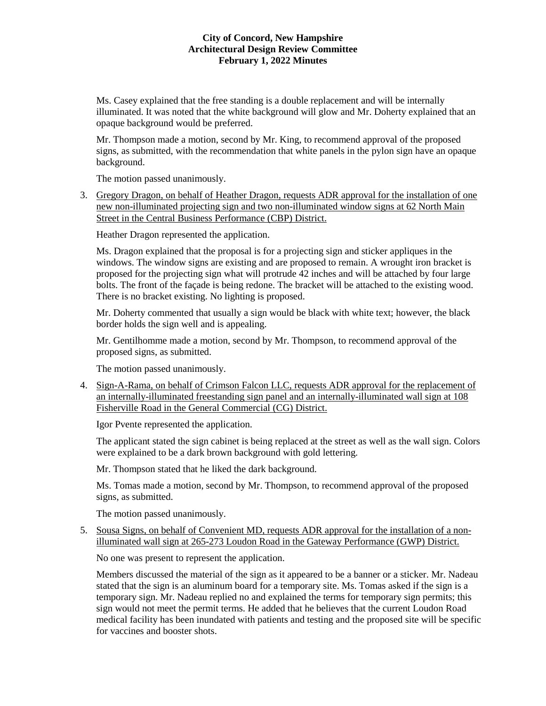Ms. Casey explained that the free standing is a double replacement and will be internally illuminated. It was noted that the white background will glow and Mr. Doherty explained that an opaque background would be preferred.

Mr. Thompson made a motion, second by Mr. King, to recommend approval of the proposed signs, as submitted, with the recommendation that white panels in the pylon sign have an opaque background.

The motion passed unanimously.

3. Gregory Dragon, on behalf of Heather Dragon, requests ADR approval for the installation of one new non-illuminated projecting sign and two non-illuminated window signs at 62 North Main Street in the Central Business Performance (CBP) District.

Heather Dragon represented the application.

Ms. Dragon explained that the proposal is for a projecting sign and sticker appliques in the windows. The window signs are existing and are proposed to remain. A wrought iron bracket is proposed for the projecting sign what will protrude 42 inches and will be attached by four large bolts. The front of the façade is being redone. The bracket will be attached to the existing wood. There is no bracket existing. No lighting is proposed.

Mr. Doherty commented that usually a sign would be black with white text; however, the black border holds the sign well and is appealing.

Mr. Gentilhomme made a motion, second by Mr. Thompson, to recommend approval of the proposed signs, as submitted.

The motion passed unanimously.

4. Sign-A-Rama, on behalf of Crimson Falcon LLC, requests ADR approval for the replacement of an internally-illuminated freestanding sign panel and an internally-illuminated wall sign at 108 Fisherville Road in the General Commercial (CG) District.

Igor Pvente represented the application.

The applicant stated the sign cabinet is being replaced at the street as well as the wall sign. Colors were explained to be a dark brown background with gold lettering.

Mr. Thompson stated that he liked the dark background.

Ms. Tomas made a motion, second by Mr. Thompson, to recommend approval of the proposed signs, as submitted.

The motion passed unanimously.

5. Sousa Signs, on behalf of Convenient MD, requests ADR approval for the installation of a nonilluminated wall sign at 265-273 Loudon Road in the Gateway Performance (GWP) District.

No one was present to represent the application.

Members discussed the material of the sign as it appeared to be a banner or a sticker. Mr. Nadeau stated that the sign is an aluminum board for a temporary site. Ms. Tomas asked if the sign is a temporary sign. Mr. Nadeau replied no and explained the terms for temporary sign permits; this sign would not meet the permit terms. He added that he believes that the current Loudon Road medical facility has been inundated with patients and testing and the proposed site will be specific for vaccines and booster shots.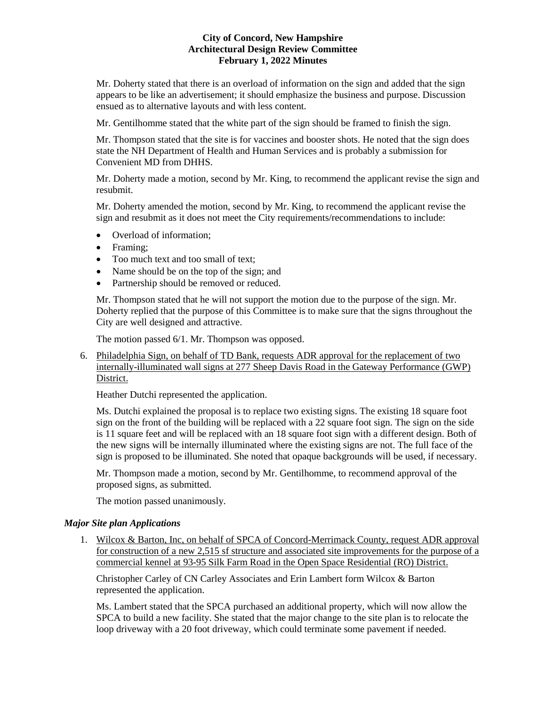Mr. Doherty stated that there is an overload of information on the sign and added that the sign appears to be like an advertisement; it should emphasize the business and purpose. Discussion ensued as to alternative layouts and with less content.

Mr. Gentilhomme stated that the white part of the sign should be framed to finish the sign.

Mr. Thompson stated that the site is for vaccines and booster shots. He noted that the sign does state the NH Department of Health and Human Services and is probably a submission for Convenient MD from DHHS.

Mr. Doherty made a motion, second by Mr. King, to recommend the applicant revise the sign and resubmit.

Mr. Doherty amended the motion, second by Mr. King, to recommend the applicant revise the sign and resubmit as it does not meet the City requirements/recommendations to include:

- Overload of information;
- Framing;
- Too much text and too small of text;
- Name should be on the top of the sign; and
- Partnership should be removed or reduced.

Mr. Thompson stated that he will not support the motion due to the purpose of the sign. Mr. Doherty replied that the purpose of this Committee is to make sure that the signs throughout the City are well designed and attractive.

The motion passed 6/1. Mr. Thompson was opposed.

6. Philadelphia Sign, on behalf of TD Bank, requests ADR approval for the replacement of two internally-illuminated wall signs at 277 Sheep Davis Road in the Gateway Performance (GWP) District.

Heather Dutchi represented the application.

Ms. Dutchi explained the proposal is to replace two existing signs. The existing 18 square foot sign on the front of the building will be replaced with a 22 square foot sign. The sign on the side is 11 square feet and will be replaced with an 18 square foot sign with a different design. Both of the new signs will be internally illuminated where the existing signs are not. The full face of the sign is proposed to be illuminated. She noted that opaque backgrounds will be used, if necessary.

Mr. Thompson made a motion, second by Mr. Gentilhomme, to recommend approval of the proposed signs, as submitted.

The motion passed unanimously.

#### *Major Site plan Applications*

1. Wilcox & Barton, Inc, on behalf of SPCA of Concord-Merrimack County, request ADR approval for construction of a new 2,515 sf structure and associated site improvements for the purpose of a commercial kennel at 93-95 Silk Farm Road in the Open Space Residential (RO) District.

Christopher Carley of CN Carley Associates and Erin Lambert form Wilcox & Barton represented the application.

Ms. Lambert stated that the SPCA purchased an additional property, which will now allow the SPCA to build a new facility. She stated that the major change to the site plan is to relocate the loop driveway with a 20 foot driveway, which could terminate some pavement if needed.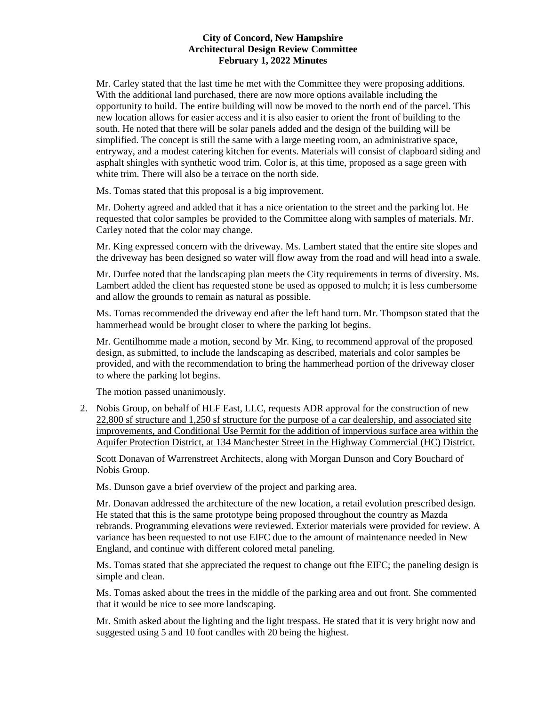Mr. Carley stated that the last time he met with the Committee they were proposing additions. With the additional land purchased, there are now more options available including the opportunity to build. The entire building will now be moved to the north end of the parcel. This new location allows for easier access and it is also easier to orient the front of building to the south. He noted that there will be solar panels added and the design of the building will be simplified. The concept is still the same with a large meeting room, an administrative space, entryway, and a modest catering kitchen for events. Materials will consist of clapboard siding and asphalt shingles with synthetic wood trim. Color is, at this time, proposed as a sage green with white trim. There will also be a terrace on the north side.

Ms. Tomas stated that this proposal is a big improvement.

Mr. Doherty agreed and added that it has a nice orientation to the street and the parking lot. He requested that color samples be provided to the Committee along with samples of materials. Mr. Carley noted that the color may change.

Mr. King expressed concern with the driveway. Ms. Lambert stated that the entire site slopes and the driveway has been designed so water will flow away from the road and will head into a swale.

Mr. Durfee noted that the landscaping plan meets the City requirements in terms of diversity. Ms. Lambert added the client has requested stone be used as opposed to mulch; it is less cumbersome and allow the grounds to remain as natural as possible.

Ms. Tomas recommended the driveway end after the left hand turn. Mr. Thompson stated that the hammerhead would be brought closer to where the parking lot begins.

Mr. Gentilhomme made a motion, second by Mr. King, to recommend approval of the proposed design, as submitted, to include the landscaping as described, materials and color samples be provided, and with the recommendation to bring the hammerhead portion of the driveway closer to where the parking lot begins.

The motion passed unanimously.

2. Nobis Group, on behalf of HLF East, LLC, requests ADR approval for the construction of new 22,800 sf structure and 1,250 sf structure for the purpose of a car dealership, and associated site improvements, and Conditional Use Permit for the addition of impervious surface area within the Aquifer Protection District, at 134 Manchester Street in the Highway Commercial (HC) District.

Scott Donavan of Warrenstreet Architects, along with Morgan Dunson and Cory Bouchard of Nobis Group.

Ms. Dunson gave a brief overview of the project and parking area.

Mr. Donavan addressed the architecture of the new location, a retail evolution prescribed design. He stated that this is the same prototype being proposed throughout the country as Mazda rebrands. Programming elevations were reviewed. Exterior materials were provided for review. A variance has been requested to not use EIFC due to the amount of maintenance needed in New England, and continue with different colored metal paneling.

Ms. Tomas stated that she appreciated the request to change out fthe EIFC; the paneling design is simple and clean.

Ms. Tomas asked about the trees in the middle of the parking area and out front. She commented that it would be nice to see more landscaping.

Mr. Smith asked about the lighting and the light trespass. He stated that it is very bright now and suggested using 5 and 10 foot candles with 20 being the highest.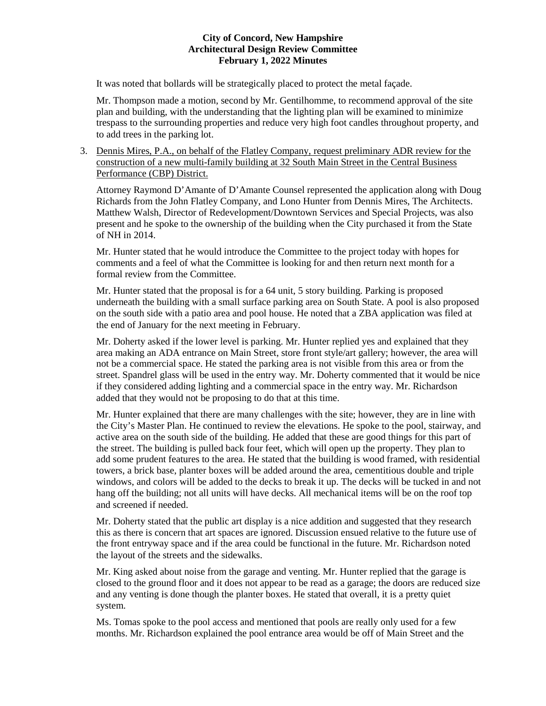It was noted that bollards will be strategically placed to protect the metal façade.

Mr. Thompson made a motion, second by Mr. Gentilhomme, to recommend approval of the site plan and building, with the understanding that the lighting plan will be examined to minimize trespass to the surrounding properties and reduce very high foot candles throughout property, and to add trees in the parking lot.

3. Dennis Mires, P.A., on behalf of the Flatley Company, request preliminary ADR review for the construction of a new multi-family building at 32 South Main Street in the Central Business Performance (CBP) District.

Attorney Raymond D'Amante of D'Amante Counsel represented the application along with Doug Richards from the John Flatley Company, and Lono Hunter from Dennis Mires, The Architects. Matthew Walsh, Director of Redevelopment/Downtown Services and Special Projects, was also present and he spoke to the ownership of the building when the City purchased it from the State of NH in 2014.

Mr. Hunter stated that he would introduce the Committee to the project today with hopes for comments and a feel of what the Committee is looking for and then return next month for a formal review from the Committee.

Mr. Hunter stated that the proposal is for a 64 unit, 5 story building. Parking is proposed underneath the building with a small surface parking area on South State. A pool is also proposed on the south side with a patio area and pool house. He noted that a ZBA application was filed at the end of January for the next meeting in February.

Mr. Doherty asked if the lower level is parking. Mr. Hunter replied yes and explained that they area making an ADA entrance on Main Street, store front style/art gallery; however, the area will not be a commercial space. He stated the parking area is not visible from this area or from the street. Spandrel glass will be used in the entry way. Mr. Doherty commented that it would be nice if they considered adding lighting and a commercial space in the entry way. Mr. Richardson added that they would not be proposing to do that at this time.

Mr. Hunter explained that there are many challenges with the site; however, they are in line with the City's Master Plan. He continued to review the elevations. He spoke to the pool, stairway, and active area on the south side of the building. He added that these are good things for this part of the street. The building is pulled back four feet, which will open up the property. They plan to add some prudent features to the area. He stated that the building is wood framed, with residential towers, a brick base, planter boxes will be added around the area, cementitious double and triple windows, and colors will be added to the decks to break it up. The decks will be tucked in and not hang off the building; not all units will have decks. All mechanical items will be on the roof top and screened if needed.

Mr. Doherty stated that the public art display is a nice addition and suggested that they research this as there is concern that art spaces are ignored. Discussion ensued relative to the future use of the front entryway space and if the area could be functional in the future. Mr. Richardson noted the layout of the streets and the sidewalks.

Mr. King asked about noise from the garage and venting. Mr. Hunter replied that the garage is closed to the ground floor and it does not appear to be read as a garage; the doors are reduced size and any venting is done though the planter boxes. He stated that overall, it is a pretty quiet system.

Ms. Tomas spoke to the pool access and mentioned that pools are really only used for a few months. Mr. Richardson explained the pool entrance area would be off of Main Street and the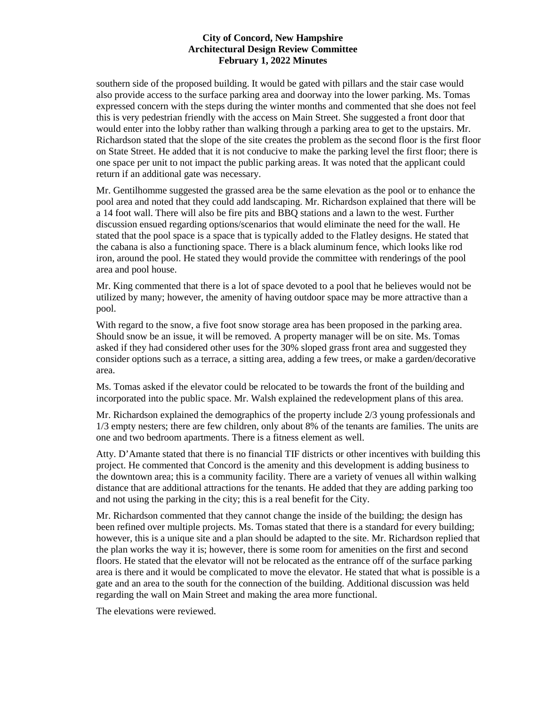southern side of the proposed building. It would be gated with pillars and the stair case would also provide access to the surface parking area and doorway into the lower parking. Ms. Tomas expressed concern with the steps during the winter months and commented that she does not feel this is very pedestrian friendly with the access on Main Street. She suggested a front door that would enter into the lobby rather than walking through a parking area to get to the upstairs. Mr. Richardson stated that the slope of the site creates the problem as the second floor is the first floor on State Street. He added that it is not conducive to make the parking level the first floor; there is one space per unit to not impact the public parking areas. It was noted that the applicant could return if an additional gate was necessary.

Mr. Gentilhomme suggested the grassed area be the same elevation as the pool or to enhance the pool area and noted that they could add landscaping. Mr. Richardson explained that there will be a 14 foot wall. There will also be fire pits and BBQ stations and a lawn to the west. Further discussion ensued regarding options/scenarios that would eliminate the need for the wall. He stated that the pool space is a space that is typically added to the Flatley designs. He stated that the cabana is also a functioning space. There is a black aluminum fence, which looks like rod iron, around the pool. He stated they would provide the committee with renderings of the pool area and pool house.

Mr. King commented that there is a lot of space devoted to a pool that he believes would not be utilized by many; however, the amenity of having outdoor space may be more attractive than a pool.

With regard to the snow, a five foot snow storage area has been proposed in the parking area. Should snow be an issue, it will be removed. A property manager will be on site. Ms. Tomas asked if they had considered other uses for the 30% sloped grass front area and suggested they consider options such as a terrace, a sitting area, adding a few trees, or make a garden/decorative area.

Ms. Tomas asked if the elevator could be relocated to be towards the front of the building and incorporated into the public space. Mr. Walsh explained the redevelopment plans of this area.

Mr. Richardson explained the demographics of the property include 2/3 young professionals and 1/3 empty nesters; there are few children, only about 8% of the tenants are families. The units are one and two bedroom apartments. There is a fitness element as well.

Atty. D'Amante stated that there is no financial TIF districts or other incentives with building this project. He commented that Concord is the amenity and this development is adding business to the downtown area; this is a community facility. There are a variety of venues all within walking distance that are additional attractions for the tenants. He added that they are adding parking too and not using the parking in the city; this is a real benefit for the City.

Mr. Richardson commented that they cannot change the inside of the building; the design has been refined over multiple projects. Ms. Tomas stated that there is a standard for every building; however, this is a unique site and a plan should be adapted to the site. Mr. Richardson replied that the plan works the way it is; however, there is some room for amenities on the first and second floors. He stated that the elevator will not be relocated as the entrance off of the surface parking area is there and it would be complicated to move the elevator. He stated that what is possible is a gate and an area to the south for the connection of the building. Additional discussion was held regarding the wall on Main Street and making the area more functional.

The elevations were reviewed.